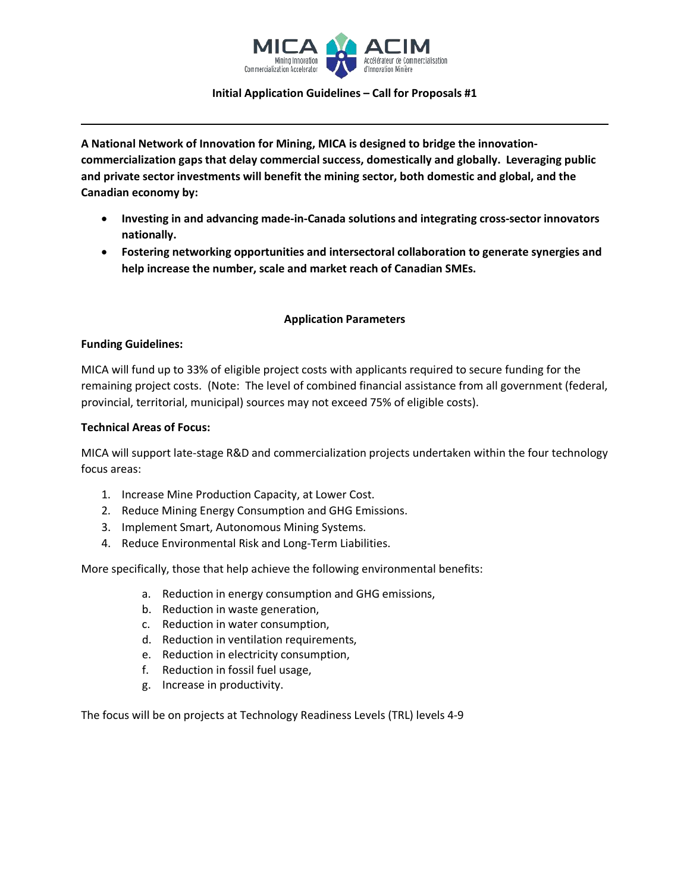

#### **Initial Application Guidelines – Call for Proposals #1**

**A National Network of Innovation for Mining, MICA is designed to bridge the innovationcommercialization gaps that delay commercial success, domestically and globally. Leveraging public and private sector investments will benefit the mining sector, both domestic and global, and the Canadian economy by:** 

- **Investing in and advancing made-in-Canada solutions and integrating cross-sector innovators nationally.**
- **Fostering networking opportunities and intersectoral collaboration to generate synergies and help increase the number, scale and market reach of Canadian SMEs.**

# **Application Parameters**

## **Funding Guidelines:**

MICA will fund up to 33% of eligible project costs with applicants required to secure funding for the remaining project costs. (Note: The level of combined financial assistance from all government (federal, provincial, territorial, municipal) sources may not exceed 75% of eligible costs).

#### **Technical Areas of Focus:**

MICA will support late-stage R&D and commercialization projects undertaken within the four technology focus areas:

- 1. Increase Mine Production Capacity, at Lower Cost.
- 2. Reduce Mining Energy Consumption and GHG Emissions.
- 3. Implement Smart, Autonomous Mining Systems.
- 4. Reduce Environmental Risk and Long-Term Liabilities.

More specifically, those that help achieve the following environmental benefits:

- a. Reduction in energy consumption and GHG emissions,
- b. Reduction in waste generation,
- c. Reduction in water consumption,
- d. Reduction in ventilation requirements,
- e. Reduction in electricity consumption,
- f. Reduction in fossil fuel usage,
- g. Increase in productivity.

The focus will be on projects at Technology Readiness Levels (TRL) levels 4-9